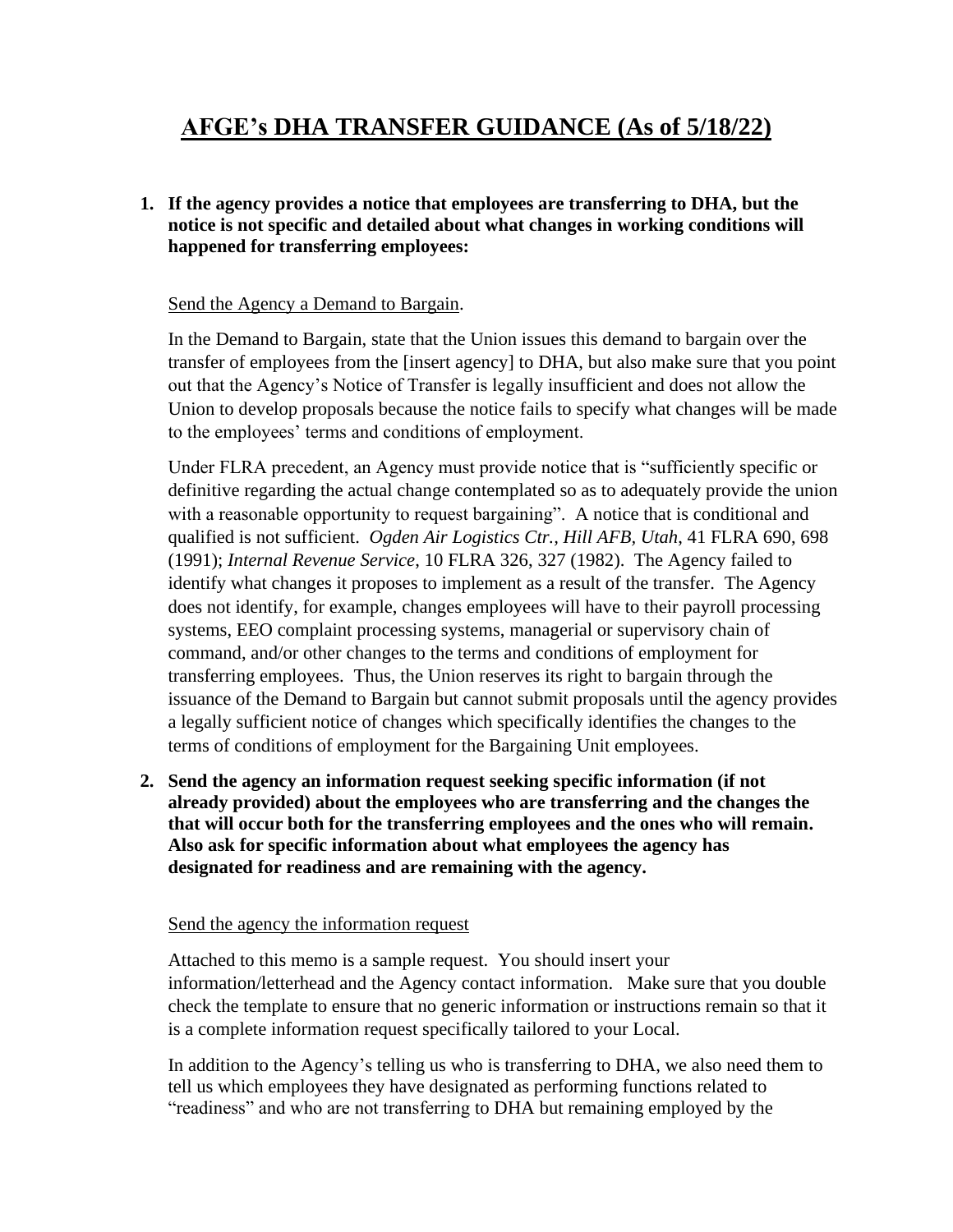# **AFGE's DHA TRANSFER GUIDANCE (As of 5/18/22)**

**1. If the agency provides a notice that employees are transferring to DHA, but the notice is not specific and detailed about what changes in working conditions will happened for transferring employees:**

## Send the Agency a Demand to Bargain.

In the Demand to Bargain, state that the Union issues this demand to bargain over the transfer of employees from the [insert agency] to DHA, but also make sure that you point out that the Agency's Notice of Transfer is legally insufficient and does not allow the Union to develop proposals because the notice fails to specify what changes will be made to the employees' terms and conditions of employment.

Under FLRA precedent, an Agency must provide notice that is "sufficiently specific or definitive regarding the actual change contemplated so as to adequately provide the union with a reasonable opportunity to request bargaining". A notice that is conditional and qualified is not sufficient. *Ogden Air Logistics Ctr., Hill AFB, Utah*, 41 FLRA 690, 698 (1991); *Internal Revenue Service*, 10 FLRA 326, 327 (1982). The Agency failed to identify what changes it proposes to implement as a result of the transfer. The Agency does not identify, for example, changes employees will have to their payroll processing systems, EEO complaint processing systems, managerial or supervisory chain of command, and/or other changes to the terms and conditions of employment for transferring employees. Thus, the Union reserves its right to bargain through the issuance of the Demand to Bargain but cannot submit proposals until the agency provides a legally sufficient notice of changes which specifically identifies the changes to the terms of conditions of employment for the Bargaining Unit employees.

**2. Send the agency an information request seeking specific information (if not already provided) about the employees who are transferring and the changes the that will occur both for the transferring employees and the ones who will remain. Also ask for specific information about what employees the agency has designated for readiness and are remaining with the agency.**

#### Send the agency the information request

Attached to this memo is a sample request. You should insert your information/letterhead and the Agency contact information. Make sure that you double check the template to ensure that no generic information or instructions remain so that it is a complete information request specifically tailored to your Local.

In addition to the Agency's telling us who is transferring to DHA, we also need them to tell us which employees they have designated as performing functions related to "readiness" and who are not transferring to DHA but remaining employed by the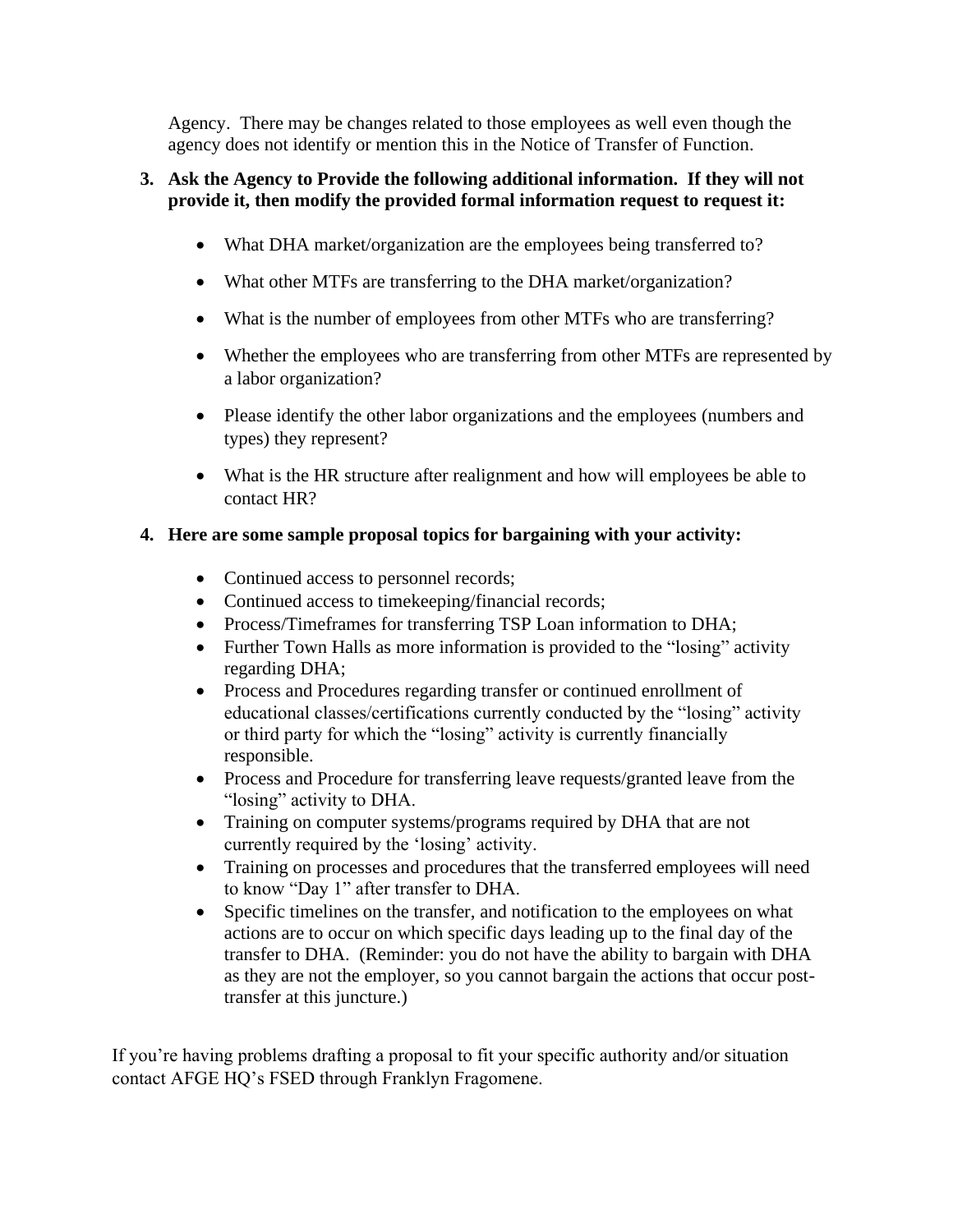Agency. There may be changes related to those employees as well even though the agency does not identify or mention this in the Notice of Transfer of Function.

## **3. Ask the Agency to Provide the following additional information. If they will not provide it, then modify the provided formal information request to request it:**

- What DHA market/organization are the employees being transferred to?
- What other MTFs are transferring to the DHA market/organization?
- What is the number of employees from other MTFs who are transferring?
- Whether the employees who are transferring from other MTFs are represented by a labor organization?
- Please identify the other labor organizations and the employees (numbers and types) they represent?
- What is the HR structure after realignment and how will employees be able to contact HR?

# **4. Here are some sample proposal topics for bargaining with your activity:**

- Continued access to personnel records;
- Continued access to timekeeping/financial records;
- Process/Timeframes for transferring TSP Loan information to DHA;
- Further Town Halls as more information is provided to the "losing" activity regarding DHA;
- Process and Procedures regarding transfer or continued enrollment of educational classes/certifications currently conducted by the "losing" activity or third party for which the "losing" activity is currently financially responsible.
- Process and Procedure for transferring leave requests/granted leave from the "losing" activity to DHA.
- Training on computer systems/programs required by DHA that are not currently required by the 'losing' activity.
- Training on processes and procedures that the transferred employees will need to know "Day 1" after transfer to DHA.
- Specific timelines on the transfer, and notification to the employees on what actions are to occur on which specific days leading up to the final day of the transfer to DHA. (Reminder: you do not have the ability to bargain with DHA as they are not the employer, so you cannot bargain the actions that occur posttransfer at this juncture.)

If you're having problems drafting a proposal to fit your specific authority and/or situation contact AFGE HQ's FSED through Franklyn Fragomene.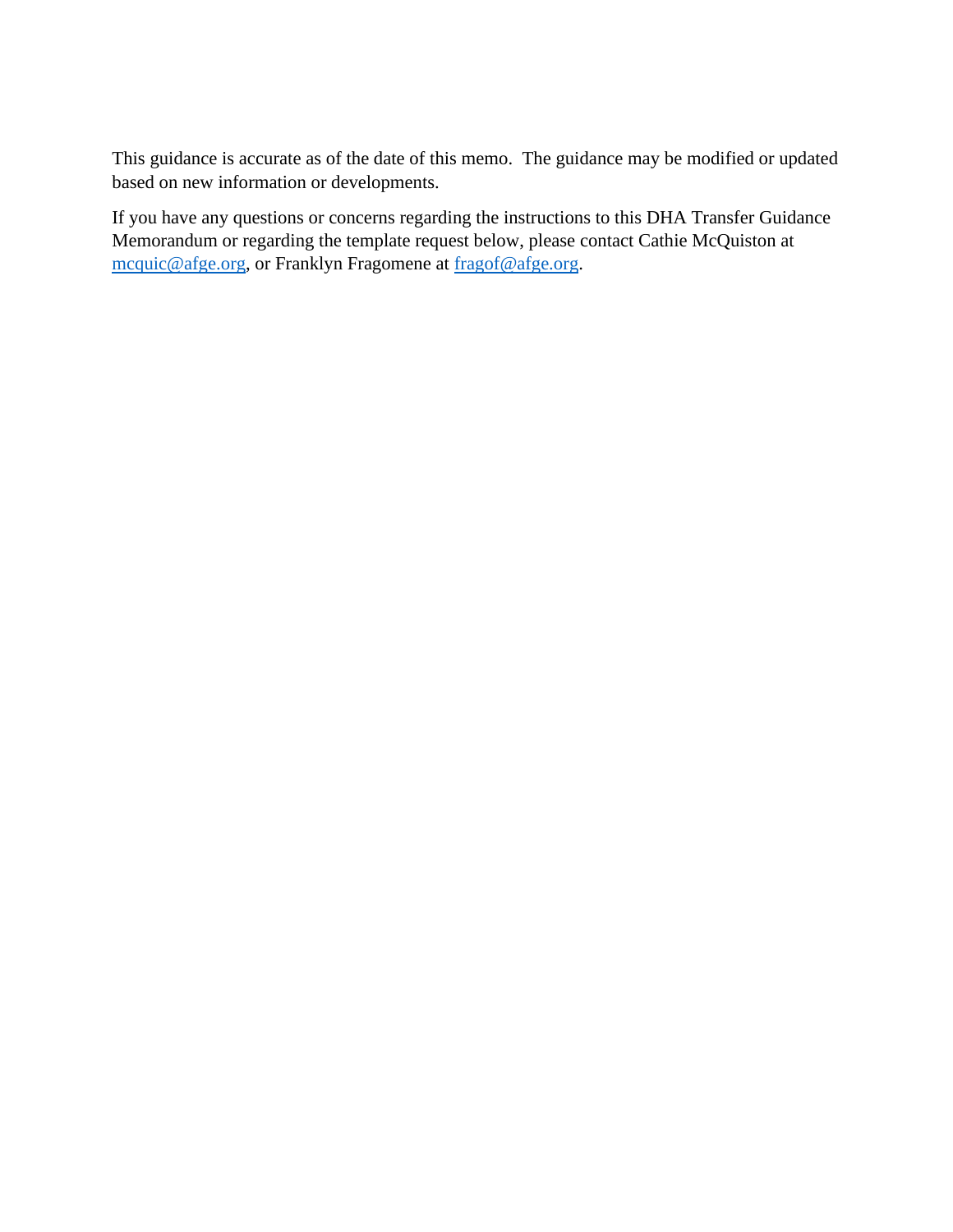This guidance is accurate as of the date of this memo. The guidance may be modified or updated based on new information or developments.

If you have any questions or concerns regarding the instructions to this DHA Transfer Guidance Memorandum or regarding the template request below, please contact Cathie McQuiston at [mcquic@afge.org,](mailto:mcquic@afge.org) or Franklyn Fragomene at [fragof@afge.org.](mailto:fragof@afge.org)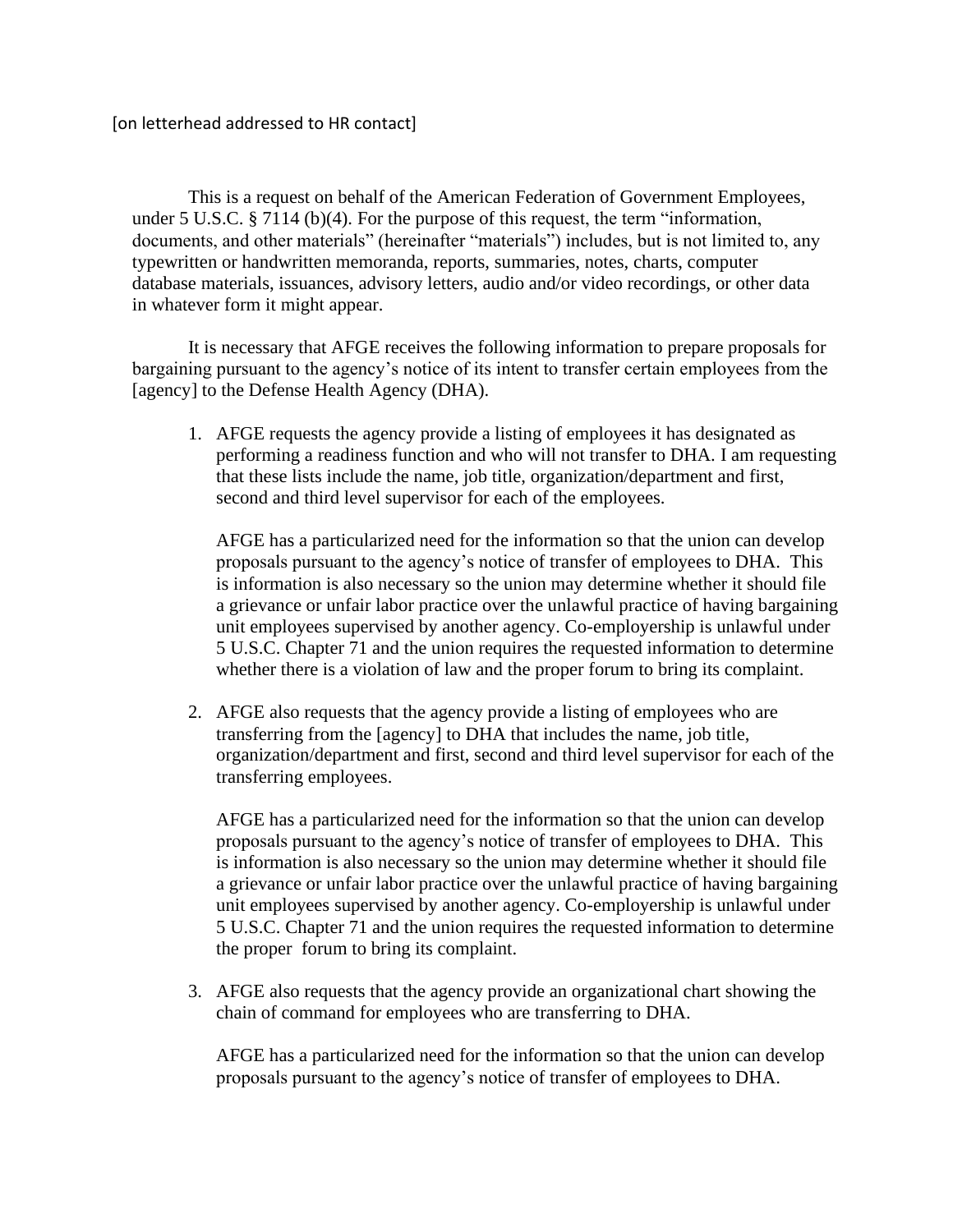This is a request on behalf of the American Federation of Government Employees, under 5 U.S.C. § 7114 (b)(4). For the purpose of this request, the term "information, documents, and other materials" (hereinafter "materials") includes, but is not limited to, any typewritten or handwritten memoranda, reports, summaries, notes, charts, computer database materials, issuances, advisory letters, audio and/or video recordings, or other data in whatever form it might appear.

It is necessary that AFGE receives the following information to prepare proposals for bargaining pursuant to the agency's notice of its intent to transfer certain employees from the [agency] to the Defense Health Agency (DHA).

1. AFGE requests the agency provide a listing of employees it has designated as performing a readiness function and who will not transfer to DHA. I am requesting that these lists include the name, job title, organization/department and first, second and third level supervisor for each of the employees.

AFGE has a particularized need for the information so that the union can develop proposals pursuant to the agency's notice of transfer of employees to DHA. This is information is also necessary so the union may determine whether it should file a grievance or unfair labor practice over the unlawful practice of having bargaining unit employees supervised by another agency. Co-employership is unlawful under 5 U.S.C. Chapter 71 and the union requires the requested information to determine whether there is a violation of law and the proper forum to bring its complaint.

2. AFGE also requests that the agency provide a listing of employees who are transferring from the [agency] to DHA that includes the name, job title, organization/department and first, second and third level supervisor for each of the transferring employees.

AFGE has a particularized need for the information so that the union can develop proposals pursuant to the agency's notice of transfer of employees to DHA. This is information is also necessary so the union may determine whether it should file a grievance or unfair labor practice over the unlawful practice of having bargaining unit employees supervised by another agency. Co-employership is unlawful under 5 U.S.C. Chapter 71 and the union requires the requested information to determine the proper forum to bring its complaint.

3. AFGE also requests that the agency provide an organizational chart showing the chain of command for employees who are transferring to DHA.

AFGE has a particularized need for the information so that the union can develop proposals pursuant to the agency's notice of transfer of employees to DHA.